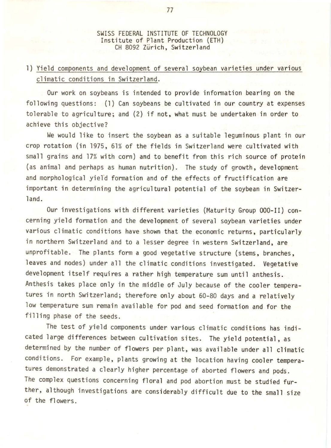SWISS FEDERAL INSTITUTE OF TECHNOLOGY Institute of Plant Production (ETH) CH 8092 Zurich, Switzerland

## 1) Yield components and development of several soybean varieties under various climatic conditions in Switzerland.

Our work on soybeans is intended to provide information bearing on the following questions: (1) Can soybeans be cultivated in our country at expenses tolerable to agriculture; and (2) if not, what must be undertaken in order to achieve this objective?

We would like to insert the soybean as a suitable leguminous plant in our crop rotation (in 1975, 61% of the fields in Switzerland were cultivated with small grains and 17% with corn) and to benefit from this rich source of protein (as animal and perhaps as human nutrition). The study of growth, development and morphological yield formation and of the effects of fructification are important in determining the agricultural potential of the soybean in Switzerland.

Our investigations with different varieties (Maturity Group 000-II) concerning yield formation and the development of several soybean varieties under various climatic conditions have shown that the economic returns, particularly in northern Switzerland and to a lesser degree in western Switzerland, are unprofitable. The plants form a good vegetative structure (stems, branches, leaves and nodes) under all the climatic conditions investigated. Vegetative development itself requires a rather high temperature sum until anthesis. Anthesis takes place only in the middle of July because of the cooler temperatures in north Switzerland; therefore only about 60-80 days and a relatively low temperature sum remain available for pod and seed formation and for the filling phase of the seeds.

The test of yield components under various climatic conditions has indicated large differences between cultivation sites. The yield potential, as determined by the number of flowers per plant, was available under all climatic conditions. For example, plants growing at the location having cooler temperatures demonstrated a clearly higher percentage of aborted flowers and pods . The complex questions concerning floral and pod abortion must be studied further, although investigations are considerably difficult due to the small size of the flowers.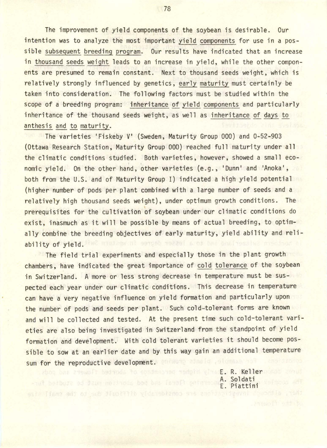The improvement of yield components of the soybean is desirable. Our intention was to analyze the most important yield components for use in a possible subsequent breeding program. Our results have indicated that an increase in thousand seeds weight leads to an increase in yield, while the other components are presumed to remain constant. Next to thousand seeds weight, which is relatively strongly influenced by genetics, early maturity must certainly be taken into consideration. The following factors must be studied within the scope of a breeding program: inheritance of yield components and particularly inheritance of the thousand seeds weight, as well as inheritance of days to anthesis and to maturity.

The varieties 'Fiskeby v• (Sweden, Maturity Group 000) and 0-52-903 (Ottawa Research Station, Maturity Group 000) reached full maturity under all the climatic conditions studied. Both varieties, however, showed a small economic yield. On the other hand, other varieties (e.g., 'Dunn' and 'Anoka', both from the U.S. and of Maturity Group I) indicated a high yield potential (higher number of pods per plant combined with a large number of seeds and a relatively high thousand seeds weight), under optimum growth conditions. The prerequisites for the cultivation of soybean under our climatic conditions do exist, inasmuch as it will be possible by means of actual breeding, to optimally combine the breeding objectives of early maturity, yield ability and reliability of yield. What despends the series in the basic series in a

The field trial experiments and especially those in the plant growth chambers, have indicated the great importance of cold tolerance of the soybean in Switzerland. A more or less strong decrease in temperature must be suspected each year under our climatic conditions. This decrease in temperature can have a very negative influence on yield formation and particularly upon the number of pods and seeds per plant. Such cold-tolerant forms are known and will be collected and tested. At the present time such cold-tolerant varieties are also being investigated in Switzerland from the standpoint of yield formation and development. With cold tolerant varieties it should become possible to sow at an earlier date and by this way gain an additional temperature sum for the reproductive development. On which she had addeniant had

abod bas avewolf bedyods to spsinepyed nedpid with E. R. Keller woman A. Soldati E. Piattini

78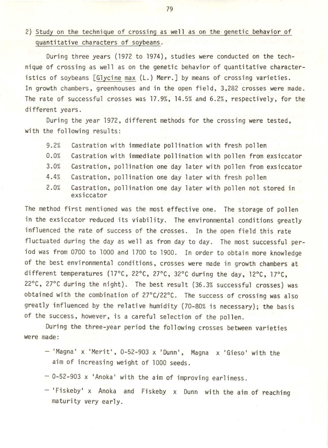## 2) Study on the technique of crossing as well as on the genetic behavior of quantitative characters of soybeans.

During three years (1972 to 1974), studies were conducted on the technique of crossing as well as on the genetic behavior of quantitative characteristics of soybeans [Glycine max (L.) Merr.] by means of crossing varieties. In growth chambers, greenhouses and in the open field, 3,282 crosses were made. The rate of successful crosses was 17.9%, 14.5% and 6.2%, respectively, for the different years.

During the year 1972, different methods for the crossing were tested, with the following results:

- 9.2% Castration with immediate pollination with fresh pollen
- 0. 0% Castration with immediate pollination with pollen from exsiccator
- 3. 0% Castration, pollination one day later with pollen from exsiccator
- 4.4% Castration, pollination one day later with fresh pollen
- 2.0% Castration, pollination one day later with pollen not stored in exsiccator

The method first mentioned was the most effective one. The storage of pollen in the exsiccator reduced its viability. The environmental conditions greatly influenced the rate of success of the crosses. In the open field this rate fluctuated during the day as well as from day to day. The most successful period was from 0700 to 1000 and 1700 to 1900. In order to obtain more knowledge of the best environmental conditions, crosses were made in growth chambers at different temperatures (17°C, 22°C, 27°C, 32°C during the day, 12°C, 17°C, 22°C, 27°C during the night). The best result (36.3% successful crosses) was obtained with the combination of 27°C/22°C. The success of crossing was also greatly influenced by the relative humidity (70-80% is necessary); the basis of the success , however, is a careful selection of the pollen.

During the three-year period the following crosses between varieties were made:

- $-$  'Magna' x 'Merit', 0-52-903 x 'Dunn', Magna x 'Gieso' with the aim of increasing weight of 1000 seeds.
- $-$  0-52-903 x 'Anoka' with the aim of improving earliness.
- 'Fiskeby' x Anoka and Fiskeby x Dunn with the aim of reaching maturity very early.